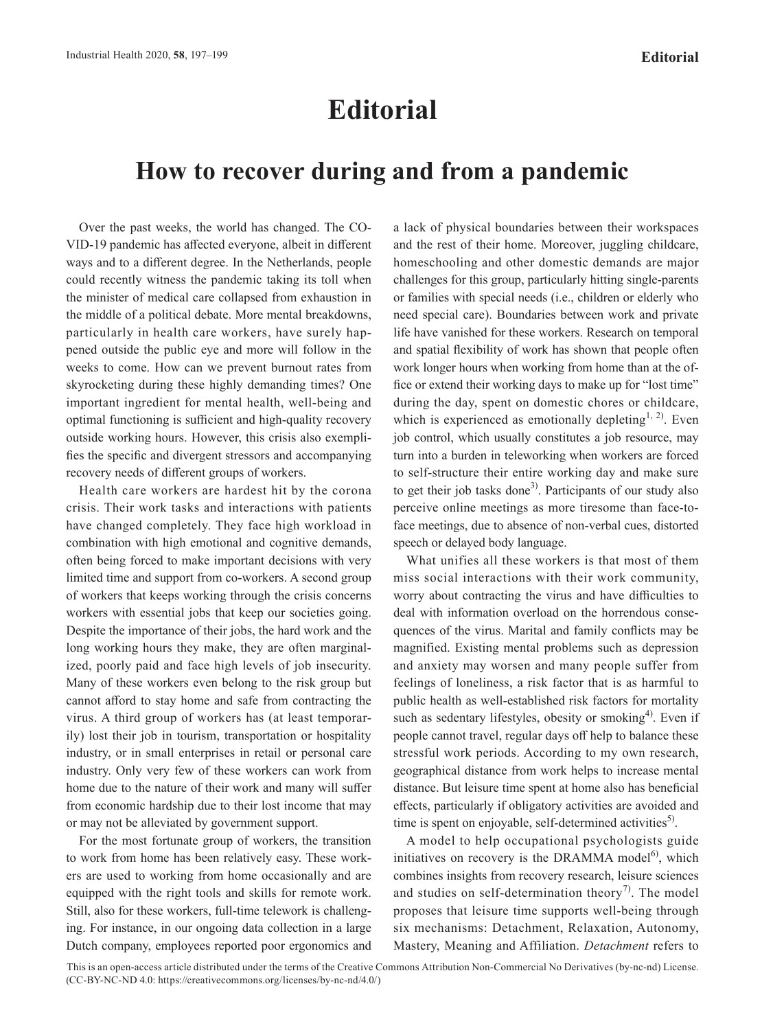## **Editorial**

## **How to recover during and from a pandemic**

Over the past weeks, the world has changed. The CO-VID-19 pandemic has affected everyone, albeit in different ways and to a different degree. In the Netherlands, people could recently witness the pandemic taking its toll when the minister of medical care collapsed from exhaustion in the middle of a political debate. More mental breakdowns, particularly in health care workers, have surely happened outside the public eye and more will follow in the weeks to come. How can we prevent burnout rates from skyrocketing during these highly demanding times? One important ingredient for mental health, well-being and optimal functioning is sufficient and high-quality recovery outside working hours. However, this crisis also exemplifies the specific and divergent stressors and accompanying recovery needs of different groups of workers.

Health care workers are hardest hit by the corona crisis. Their work tasks and interactions with patients have changed completely. They face high workload in combination with high emotional and cognitive demands, often being forced to make important decisions with very limited time and support from co-workers. A second group of workers that keeps working through the crisis concerns workers with essential jobs that keep our societies going. Despite the importance of their jobs, the hard work and the long working hours they make, they are often marginalized, poorly paid and face high levels of job insecurity. Many of these workers even belong to the risk group but cannot afford to stay home and safe from contracting the virus. A third group of workers has (at least temporarily) lost their job in tourism, transportation or hospitality industry, or in small enterprises in retail or personal care industry. Only very few of these workers can work from home due to the nature of their work and many will suffer from economic hardship due to their lost income that may or may not be alleviated by government support.

For the most fortunate group of workers, the transition to work from home has been relatively easy. These workers are used to working from home occasionally and are equipped with the right tools and skills for remote work. Still, also for these workers, full-time telework is challenging. For instance, in our ongoing data collection in a large Dutch company, employees reported poor ergonomics and

a lack of physical boundaries between their workspaces and the rest of their home. Moreover, juggling childcare, homeschooling and other domestic demands are major challenges for this group, particularly hitting single-parents or families with special needs (i.e., children or elderly who need special care). Boundaries between work and private life have vanished for these workers. Research on temporal and spatial flexibility of work has shown that people often work longer hours when working from home than at the office or extend their working days to make up for "lost time" during the day, spent on domestic chores or childcare, which is experienced as emotionally depleting<sup>[1, 2](#page-1-0))</sup>. Even job control, which usually constitutes a job resource, may turn into a burden in teleworking when workers are forced to self-structure their entire working day and make sure to get their job tasks done<sup>[3](#page-1-1))</sup>. Participants of our study also perceive online meetings as more tiresome than face-toface meetings, due to absence of non-verbal cues, distorted speech or delayed body language.

What unifies all these workers is that most of them miss social interactions with their work community, worry about contracting the virus and have difficulties to deal with information overload on the horrendous consequences of the virus. Marital and family conflicts may be magnified. Existing mental problems such as depression and anxiety may worsen and many people suffer from feelings of loneliness, a risk factor that is as harmful to public health as well-established risk factors for mortality such as sedentary lifestyles, obesity or smoking<sup>[4\)](#page-1-2)</sup>. Even if people cannot travel, regular days off help to balance these stressful work periods. According to my own research, geographical distance from work helps to increase mental distance. But leisure time spent at home also has beneficial effects, particularly if obligatory activities are avoided and time is spent on enjoyable, self-determined activities<sup>3)</sup>.

A model to help occupational psychologists guide initiatives on recovery is the DRAMMA model<sup>[6](#page-2-1))</sup>, which combines insights from recovery research, leisure sciences and studies on self-determination theory<sup>[7\)](#page-2-2)</sup>. The model proposes that leisure time supports well-being through six mechanisms: Detachment, Relaxation, Autonomy, Mastery, Meaning and Affiliation. *Detachment* refers to

This is an open-access article distributed under the terms of the Creative Commons Attribution Non-Commercial No Derivatives (by-nc-nd) License. (CC-BY-NC-ND 4.0: https://creativecommons.org/licenses/by-nc-nd/4.0/)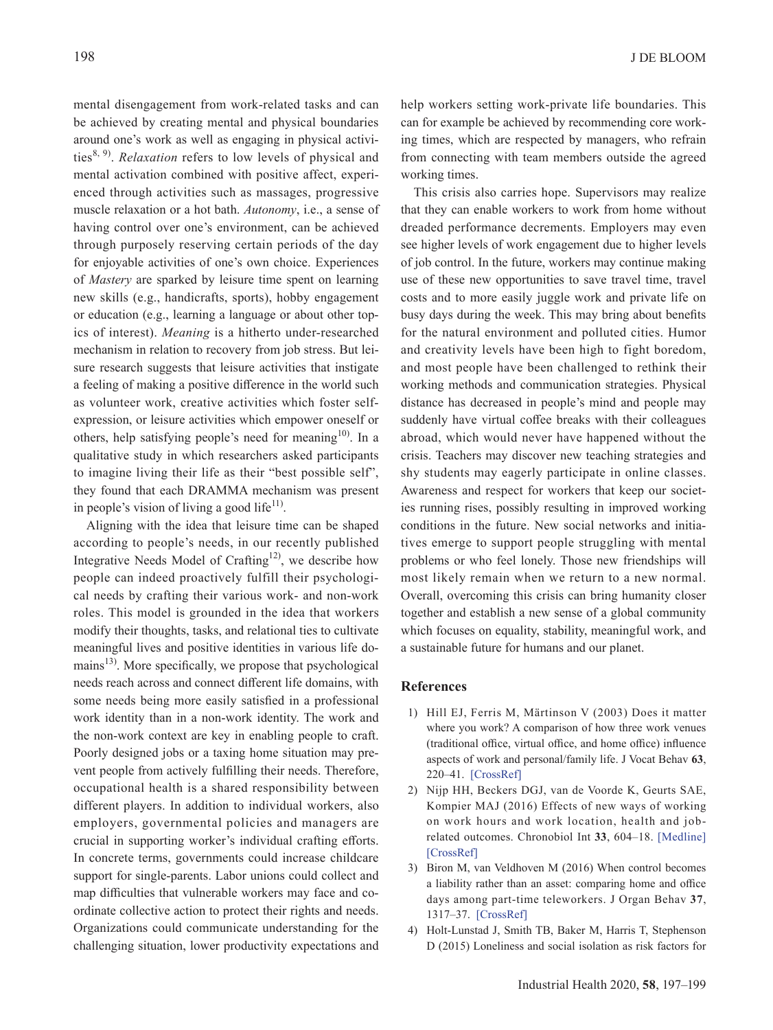mental disengagement from work-related tasks and can be achieved by creating mental and physical boundaries around one's work as well as engaging in physical activi-ties<sup>[8, 9](#page-2-3))</sup>. *Relaxation* refers to low levels of physical and mental activation combined with positive affect, experienced through activities such as massages, progressive muscle relaxation or a hot bath. *Autonomy*, i.e., a sense of having control over one's environment, can be achieved through purposely reserving certain periods of the day for enjoyable activities of one's own choice. Experiences of *Mastery* are sparked by leisure time spent on learning new skills (e.g., handicrafts, sports), hobby engagement or education (e.g., learning a language or about other topics of interest). *Meaning* is a hitherto under-researched mechanism in relation to recovery from job stress. But leisure research suggests that leisure activities that instigate a feeling of making a positive difference in the world such as volunteer work, creative activities which foster selfexpression, or leisure activities which empower oneself or others, help satisfying people's need for meaning<sup>[10](#page-2-4))</sup>. In a qualitative study in which researchers asked participants to imagine living their life as their "best possible self", they found that each DRAMMA mechanism was present in people's vision of living a good life<sup>[11\)](#page-2-5)</sup>.

Aligning with the idea that leisure time can be shaped according to people's needs, in our recently published Integrative Needs Model of Crafting<sup>12)</sup>, we describe how people can indeed proactively fulfill their psychological needs by crafting their various work- and non-work roles. This model is grounded in the idea that workers modify their thoughts, tasks, and relational ties to cultivate meaningful lives and positive identities in various life do-mains<sup>[13\)](#page-2-7)</sup>. More specifically, we propose that psychological needs reach across and connect different life domains, with some needs being more easily satisfied in a professional work identity than in a non-work identity. The work and the non-work context are key in enabling people to craft. Poorly designed jobs or a taxing home situation may prevent people from actively fulfilling their needs. Therefore, occupational health is a shared responsibility between different players. In addition to individual workers, also employers, governmental policies and managers are crucial in supporting worker's individual crafting efforts. In concrete terms, governments could increase childcare support for single-parents. Labor unions could collect and map difficulties that vulnerable workers may face and coordinate collective action to protect their rights and needs. Organizations could communicate understanding for the challenging situation, lower productivity expectations and

help workers setting work-private life boundaries. This can for example be achieved by recommending core working times, which are respected by managers, who refrain from connecting with team members outside the agreed working times.

This crisis also carries hope. Supervisors may realize that they can enable workers to work from home without dreaded performance decrements. Employers may even see higher levels of work engagement due to higher levels of job control. In the future, workers may continue making use of these new opportunities to save travel time, travel costs and to more easily juggle work and private life on busy days during the week. This may bring about benefits for the natural environment and polluted cities. Humor and creativity levels have been high to fight boredom, and most people have been challenged to rethink their working methods and communication strategies. Physical distance has decreased in people's mind and people may suddenly have virtual coffee breaks with their colleagues abroad, which would never have happened without the crisis. Teachers may discover new teaching strategies and shy students may eagerly participate in online classes. Awareness and respect for workers that keep our societies running rises, possibly resulting in improved working conditions in the future. New social networks and initiatives emerge to support people struggling with mental problems or who feel lonely. Those new friendships will most likely remain when we return to a new normal. Overall, overcoming this crisis can bring humanity closer together and establish a new sense of a global community which focuses on equality, stability, meaningful work, and a sustainable future for humans and our planet.

## **References**

- <span id="page-1-0"></span>1) Hill EJ, Ferris M, Märtinson V (2003) Does it matter where you work? A comparison of how three work venues (traditional office, virtual office, and home office) influence aspects of work and personal/family life. J Vocat Behav **63**, 220–41. [\[CrossRef\]](http://dx.doi.org/10.1016/S0001-8791(03)00042-3)
- 2) Nijp HH, Beckers DGJ, van de Voorde K, Geurts SAE, Kompier MAJ (2016) Effects of new ways of working on work hours and work location, health and jobrelated outcomes. Chronobiol Int **33**, 604–18. [\[Medline\]](http://www.ncbi.nlm.nih.gov/pubmed/27223247?dopt=Abstract) [\[CrossRef\]](http://dx.doi.org/10.3109/07420528.2016.1167731)
- <span id="page-1-1"></span>3) Biron M, van Veldhoven M (2016) When control becomes a liability rather than an asset: comparing home and office days among part‐time teleworkers. J Organ Behav **37**, 1317–37. [\[CrossRef\]](http://dx.doi.org/10.1002/job.2106)
- <span id="page-1-2"></span>4) Holt-Lunstad J, Smith TB, Baker M, Harris T, Stephenson D (2015) Loneliness and social isolation as risk factors for